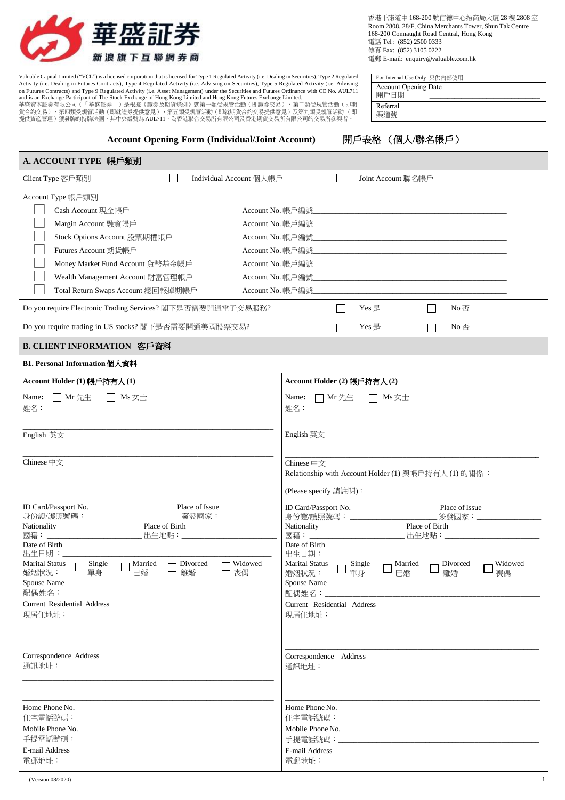

Valuable Capital Limited ("VCL") is a licensed corporation that is licensed for Type 1 Regulated Activity (i.e. Dealing in Securities), Type 2 Regulated Activity (i.e. Dealing in Securities), Type 2 Regulated Activity (i.

| 香港干諾道中 168-200號信德中心招商局大廈 28 樓 2808 室                    |
|---------------------------------------------------------|
| Room 2808, 28/F. China Merchants Tower, Shun Tak Centre |
| 168-200 Connaught Road Central, Hong Kong               |
| 電話 Tel: (852) 2500 0333                                 |
| 傳直 Fax: (852) 3105 0222                                 |
| 電郵 E-mail: enquiry@valuable.com.hk                      |

| For Internal Use Only 只供内部使用 |  |
|------------------------------|--|
| <b>Account Opening Date</b>  |  |
| 開戶日期                         |  |
| Referral                     |  |
| 渠道號                          |  |

| <b>Account Opening Form (Individual/Joint Account)</b>                                                                                                                                                                                                                                                              | 開戶表格 (個人/聯名帳戶)                                                                                                                                                                                                                                                                                                    |
|---------------------------------------------------------------------------------------------------------------------------------------------------------------------------------------------------------------------------------------------------------------------------------------------------------------------|-------------------------------------------------------------------------------------------------------------------------------------------------------------------------------------------------------------------------------------------------------------------------------------------------------------------|
| A. ACCOUNT TYPE 帳戶類別                                                                                                                                                                                                                                                                                                |                                                                                                                                                                                                                                                                                                                   |
| Client Type 客戶類別<br>Individual Account 個人帳戶                                                                                                                                                                                                                                                                         | Joint Account 聯名帳戶                                                                                                                                                                                                                                                                                                |
| Account Type 帳戶類別<br>Cash Account 現金帳戶<br>Account No. 帳戶編號<br>Margin Account 融資帳戶<br>Account No. 帳戶編號<br>Stock Options Account 股票期權帳戶<br>Futures Account 期貨帳戶<br>Account No. 帳戶編號<br>Money Market Fund Account 貨幣基金帳戶<br>Wealth Management Account 財富管理帳戶<br>Total Return Swaps Account 總回報掉期帳戶<br>Account No. 帳戶編號 | and the control of the control of the control of the control of the control of the control of the control of the<br><u> 1989 - Johann John Stone, markin film yn y brenin y brenin y brenin y brenin y brenin y brenin y brenin y br</u><br><u> 1980 - John Harry Barn, mars and deutscher Schwarzer († 1918)</u> |
| Do you require Electronic Trading Services? 閣下是否需要開通電子交易服務?                                                                                                                                                                                                                                                         | Yes 是<br>No $\overline{\oplus}$<br>$\mathsf{L}$<br>$\blacksquare$                                                                                                                                                                                                                                                 |
| Do you require trading in US stocks? 閣下是否需要開通美國股票交易?                                                                                                                                                                                                                                                                | Yes 是<br>No否                                                                                                                                                                                                                                                                                                      |
| B. CLIENT INFORMATION 客戶資料                                                                                                                                                                                                                                                                                          |                                                                                                                                                                                                                                                                                                                   |
| B1. Personal Information 個人資料                                                                                                                                                                                                                                                                                       |                                                                                                                                                                                                                                                                                                                   |
| Account Holder (1) 帳戶持有人(1)                                                                                                                                                                                                                                                                                         | Account Holder (2) 帳戶持有人(2)                                                                                                                                                                                                                                                                                       |
| $\Box$ Mr 先生<br>Name:<br>$\Box$ Ms $\not\equiv \pm$<br>姓名:                                                                                                                                                                                                                                                          | Name:<br>$\Box$ Mr 先生<br>$\Box$ Ms $\pm\pm$<br>姓名:                                                                                                                                                                                                                                                                |
| English 英文                                                                                                                                                                                                                                                                                                          | English 英文                                                                                                                                                                                                                                                                                                        |
| Chinese 中文                                                                                                                                                                                                                                                                                                          | Chinese $\oplus \overline{\chi}$<br>Relationship with Account Holder (1) 與帳戶持有人 (1) 的關係:                                                                                                                                                                                                                          |
| ID Card/Passport No.<br>Place of Issue<br>身份證/護照號碼: ____________<br>_____________ 簽發國家:_______________                                                                                                                                                                                                              | ID Card/Passport No.<br>Place of Issue                                                                                                                                                                                                                                                                            |
| Place of Birth<br>Nationality<br>國籍:<br>出生地點:<br>Date of Birth<br>出生日期:                                                                                                                                                                                                                                             | Nationality<br>Place of Birth<br>_ 出生地點:_______________________<br>Date of Birth<br>出生日期:                                                                                                                                                                                                                         |
| $\Box$ Widowed<br><b>Marital Status</b><br>Single<br>Married<br>Divorced<br>巳婚<br>離婚<br>喪偶<br>婚姻狀況:<br>單身<br>Spouse Name<br><b>Current Residential Address</b><br>現居住地址:                                                                                                                                            | Marital Status<br>Widowed<br>Single<br>- Married<br>Divorced<br>單身<br>巳婚<br>離婚<br>喪偶<br>婚姻狀況:<br>Spouse Name<br>Current Residential Address<br>現居住地址:                                                                                                                                                             |
| Correspondence Address<br>通訊地址:                                                                                                                                                                                                                                                                                     | Correspondence Address<br>通訊地址:                                                                                                                                                                                                                                                                                   |
| Home Phone No.<br>Mobile Phone No.<br>E-mail Address                                                                                                                                                                                                                                                                | Home Phone No.<br>Mobile Phone No.<br>E-mail Address                                                                                                                                                                                                                                                              |

電郵地址:

電郵地址: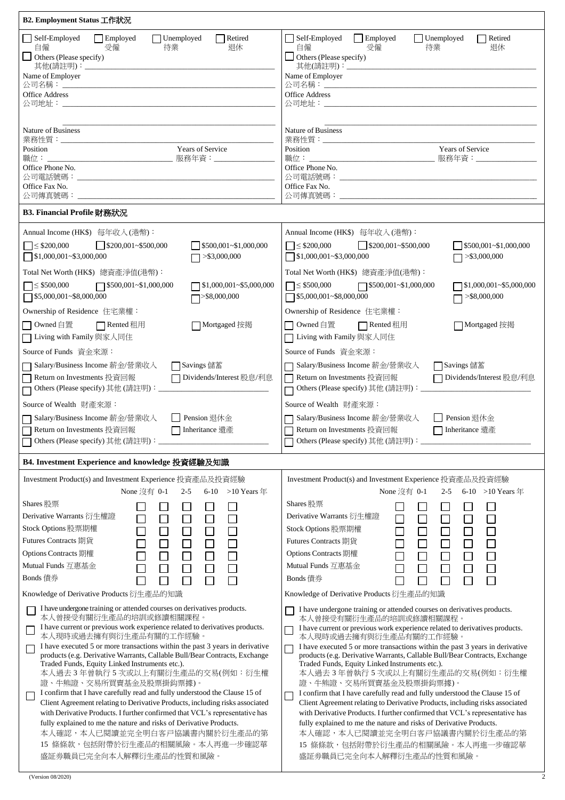| B2. Employment Status 工作狀況                                                                                                                                                                                                                                                                                                                                                                                                                                                                                                                                                                                                                                                                                                                                                                                                                                                                                                                                                                                                                                                                                                                                                                 |                                                                                                                                                                                                                                                                                                                                                                                                                                                                                                                                                                                                                                                                                                                                                                                                                                                                                                                                                                                                                                                                                                                                                                                                                                   |
|--------------------------------------------------------------------------------------------------------------------------------------------------------------------------------------------------------------------------------------------------------------------------------------------------------------------------------------------------------------------------------------------------------------------------------------------------------------------------------------------------------------------------------------------------------------------------------------------------------------------------------------------------------------------------------------------------------------------------------------------------------------------------------------------------------------------------------------------------------------------------------------------------------------------------------------------------------------------------------------------------------------------------------------------------------------------------------------------------------------------------------------------------------------------------------------------|-----------------------------------------------------------------------------------------------------------------------------------------------------------------------------------------------------------------------------------------------------------------------------------------------------------------------------------------------------------------------------------------------------------------------------------------------------------------------------------------------------------------------------------------------------------------------------------------------------------------------------------------------------------------------------------------------------------------------------------------------------------------------------------------------------------------------------------------------------------------------------------------------------------------------------------------------------------------------------------------------------------------------------------------------------------------------------------------------------------------------------------------------------------------------------------------------------------------------------------|
| Self-Employed                                                                                                                                                                                                                                                                                                                                                                                                                                                                                                                                                                                                                                                                                                                                                                                                                                                                                                                                                                                                                                                                                                                                                                              | Employed                                                                                                                                                                                                                                                                                                                                                                                                                                                                                                                                                                                                                                                                                                                                                                                                                                                                                                                                                                                                                                                                                                                                                                                                                          |
| $\Box$ Employed                                                                                                                                                                                                                                                                                                                                                                                                                                                                                                                                                                                                                                                                                                                                                                                                                                                                                                                                                                                                                                                                                                                                                                            | Self-Employed                                                                                                                                                                                                                                                                                                                                                                                                                                                                                                                                                                                                                                                                                                                                                                                                                                                                                                                                                                                                                                                                                                                                                                                                                     |
| $\Box$ Unemployed                                                                                                                                                                                                                                                                                                                                                                                                                                                                                                                                                                                                                                                                                                                                                                                                                                                                                                                                                                                                                                                                                                                                                                          | $\Box$ Unemployed                                                                                                                                                                                                                                                                                                                                                                                                                                                                                                                                                                                                                                                                                                                                                                                                                                                                                                                                                                                                                                                                                                                                                                                                                 |
| Retired                                                                                                                                                                                                                                                                                                                                                                                                                                                                                                                                                                                                                                                                                                                                                                                                                                                                                                                                                                                                                                                                                                                                                                                    | Retired                                                                                                                                                                                                                                                                                                                                                                                                                                                                                                                                                                                                                                                                                                                                                                                                                                                                                                                                                                                                                                                                                                                                                                                                                           |
| 退休                                                                                                                                                                                                                                                                                                                                                                                                                                                                                                                                                                                                                                                                                                                                                                                                                                                                                                                                                                                                                                                                                                                                                                                         | 受僱                                                                                                                                                                                                                                                                                                                                                                                                                                                                                                                                                                                                                                                                                                                                                                                                                                                                                                                                                                                                                                                                                                                                                                                                                                |
| 自僱                                                                                                                                                                                                                                                                                                                                                                                                                                                                                                                                                                                                                                                                                                                                                                                                                                                                                                                                                                                                                                                                                                                                                                                         | 退休                                                                                                                                                                                                                                                                                                                                                                                                                                                                                                                                                                                                                                                                                                                                                                                                                                                                                                                                                                                                                                                                                                                                                                                                                                |
| 受僱                                                                                                                                                                                                                                                                                                                                                                                                                                                                                                                                                                                                                                                                                                                                                                                                                                                                                                                                                                                                                                                                                                                                                                                         | 自僱                                                                                                                                                                                                                                                                                                                                                                                                                                                                                                                                                                                                                                                                                                                                                                                                                                                                                                                                                                                                                                                                                                                                                                                                                                |
| 待業                                                                                                                                                                                                                                                                                                                                                                                                                                                                                                                                                                                                                                                                                                                                                                                                                                                                                                                                                                                                                                                                                                                                                                                         | 待業                                                                                                                                                                                                                                                                                                                                                                                                                                                                                                                                                                                                                                                                                                                                                                                                                                                                                                                                                                                                                                                                                                                                                                                                                                |
| $\Box$ Others (Please specify)                                                                                                                                                                                                                                                                                                                                                                                                                                                                                                                                                                                                                                                                                                                                                                                                                                                                                                                                                                                                                                                                                                                                                             | $\Box$ Others (Please specify)                                                                                                                                                                                                                                                                                                                                                                                                                                                                                                                                                                                                                                                                                                                                                                                                                                                                                                                                                                                                                                                                                                                                                                                                    |
| 其他(請註明): ____                                                                                                                                                                                                                                                                                                                                                                                                                                                                                                                                                                                                                                                                                                                                                                                                                                                                                                                                                                                                                                                                                                                                                                              | 其他(請註明):______                                                                                                                                                                                                                                                                                                                                                                                                                                                                                                                                                                                                                                                                                                                                                                                                                                                                                                                                                                                                                                                                                                                                                                                                                    |
| Name of Employer                                                                                                                                                                                                                                                                                                                                                                                                                                                                                                                                                                                                                                                                                                                                                                                                                                                                                                                                                                                                                                                                                                                                                                           | Name of Employer                                                                                                                                                                                                                                                                                                                                                                                                                                                                                                                                                                                                                                                                                                                                                                                                                                                                                                                                                                                                                                                                                                                                                                                                                  |
| 公司名稱: ___                                                                                                                                                                                                                                                                                                                                                                                                                                                                                                                                                                                                                                                                                                                                                                                                                                                                                                                                                                                                                                                                                                                                                                                  | 公司名稱: ____                                                                                                                                                                                                                                                                                                                                                                                                                                                                                                                                                                                                                                                                                                                                                                                                                                                                                                                                                                                                                                                                                                                                                                                                                        |
| <b>Office Address</b>                                                                                                                                                                                                                                                                                                                                                                                                                                                                                                                                                                                                                                                                                                                                                                                                                                                                                                                                                                                                                                                                                                                                                                      | <b>Office Address</b>                                                                                                                                                                                                                                                                                                                                                                                                                                                                                                                                                                                                                                                                                                                                                                                                                                                                                                                                                                                                                                                                                                                                                                                                             |
| 公司地址:                                                                                                                                                                                                                                                                                                                                                                                                                                                                                                                                                                                                                                                                                                                                                                                                                                                                                                                                                                                                                                                                                                                                                                                      |                                                                                                                                                                                                                                                                                                                                                                                                                                                                                                                                                                                                                                                                                                                                                                                                                                                                                                                                                                                                                                                                                                                                                                                                                                   |
| Nature of Business<br>業務性質:___<br>Years of Service<br>Position<br>職位:<br>______________________________ 服務年資:______________<br>Office Phone No.<br>Office Fax No.<br>公司傳真號碼:                                                                                                                                                                                                                                                                                                                                                                                                                                                                                                                                                                                                                                                                                                                                                                                                                                                                                                                                                                                                               | Nature of Business<br>業務性質:<br>Years of Service<br>Position<br>職位: _________________________________ 服務年資:______________<br>Office Phone No.<br>Office Fax No.<br>公司傳真號碼:                                                                                                                                                                                                                                                                                                                                                                                                                                                                                                                                                                                                                                                                                                                                                                                                                                                                                                                                                                                                                                                         |
| B3. Financial Profile 財務狀況                                                                                                                                                                                                                                                                                                                                                                                                                                                                                                                                                                                                                                                                                                                                                                                                                                                                                                                                                                                                                                                                                                                                                                 |                                                                                                                                                                                                                                                                                                                                                                                                                                                                                                                                                                                                                                                                                                                                                                                                                                                                                                                                                                                                                                                                                                                                                                                                                                   |
| Annual Income (HK\$) 每年收入(港幣):                                                                                                                                                                                                                                                                                                                                                                                                                                                                                                                                                                                                                                                                                                                                                                                                                                                                                                                                                                                                                                                                                                                                                             | Annual Income (HK\$) 每年收入(港幣):                                                                                                                                                                                                                                                                                                                                                                                                                                                                                                                                                                                                                                                                                                                                                                                                                                                                                                                                                                                                                                                                                                                                                                                                    |
| $\leq$ \$200,000                                                                                                                                                                                                                                                                                                                                                                                                                                                                                                                                                                                                                                                                                                                                                                                                                                                                                                                                                                                                                                                                                                                                                                           | $\Box \leq$ \$200,000                                                                                                                                                                                                                                                                                                                                                                                                                                                                                                                                                                                                                                                                                                                                                                                                                                                                                                                                                                                                                                                                                                                                                                                                             |
| $\bigcup$ \$200,001~\$500,000                                                                                                                                                                                                                                                                                                                                                                                                                                                                                                                                                                                                                                                                                                                                                                                                                                                                                                                                                                                                                                                                                                                                                              | $\bigcup$ \$200,001~\$500,000                                                                                                                                                                                                                                                                                                                                                                                                                                                                                                                                                                                                                                                                                                                                                                                                                                                                                                                                                                                                                                                                                                                                                                                                     |
| $\sqrt{$}500,001 - $1,000,000$                                                                                                                                                                                                                                                                                                                                                                                                                                                                                                                                                                                                                                                                                                                                                                                                                                                                                                                                                                                                                                                                                                                                                             | \$500,001~\$1,000,000                                                                                                                                                                                                                                                                                                                                                                                                                                                                                                                                                                                                                                                                                                                                                                                                                                                                                                                                                                                                                                                                                                                                                                                                             |
| $\sqrt{$1,000,001 \times $3,000,000}$                                                                                                                                                                                                                                                                                                                                                                                                                                                                                                                                                                                                                                                                                                                                                                                                                                                                                                                                                                                                                                                                                                                                                      | $\sqrt{$}1,000,001~$ -\$3,000,000                                                                                                                                                                                                                                                                                                                                                                                                                                                                                                                                                                                                                                                                                                                                                                                                                                                                                                                                                                                                                                                                                                                                                                                                 |
| $>$ \$3,000,000                                                                                                                                                                                                                                                                                                                                                                                                                                                                                                                                                                                                                                                                                                                                                                                                                                                                                                                                                                                                                                                                                                                                                                            | $\Box$ >\$3,000,000                                                                                                                                                                                                                                                                                                                                                                                                                                                                                                                                                                                                                                                                                                                                                                                                                                                                                                                                                                                                                                                                                                                                                                                                               |
| Total Net Worth (HK\$) 總資產淨值(港幣):                                                                                                                                                                                                                                                                                                                                                                                                                                                                                                                                                                                                                                                                                                                                                                                                                                                                                                                                                                                                                                                                                                                                                          | Total Net Worth (HK\$) 總資產淨值(港幣):                                                                                                                                                                                                                                                                                                                                                                                                                                                                                                                                                                                                                                                                                                                                                                                                                                                                                                                                                                                                                                                                                                                                                                                                 |
| $\Box \leq $500,000$                                                                                                                                                                                                                                                                                                                                                                                                                                                                                                                                                                                                                                                                                                                                                                                                                                                                                                                                                                                                                                                                                                                                                                       | $\Box \leq $500,000$                                                                                                                                                                                                                                                                                                                                                                                                                                                                                                                                                                                                                                                                                                                                                                                                                                                                                                                                                                                                                                                                                                                                                                                                              |
| $\Box$ \$500,001~\$1,000,000                                                                                                                                                                                                                                                                                                                                                                                                                                                                                                                                                                                                                                                                                                                                                                                                                                                                                                                                                                                                                                                                                                                                                               | $\Box$ \$500,001~\$1,000,000                                                                                                                                                                                                                                                                                                                                                                                                                                                                                                                                                                                                                                                                                                                                                                                                                                                                                                                                                                                                                                                                                                                                                                                                      |
| $\Box$ \$1,000,001~\$5,000,000                                                                                                                                                                                                                                                                                                                                                                                                                                                                                                                                                                                                                                                                                                                                                                                                                                                                                                                                                                                                                                                                                                                                                             | $\sqrt{$1,000,001 \times $5,000,000}$                                                                                                                                                                                                                                                                                                                                                                                                                                                                                                                                                                                                                                                                                                                                                                                                                                                                                                                                                                                                                                                                                                                                                                                             |
| $\Box$ \$5,000,001~\$8,000,000                                                                                                                                                                                                                                                                                                                                                                                                                                                                                                                                                                                                                                                                                                                                                                                                                                                                                                                                                                                                                                                                                                                                                             | $\Box$ \$5,000,001~\$8,000,000                                                                                                                                                                                                                                                                                                                                                                                                                                                                                                                                                                                                                                                                                                                                                                                                                                                                                                                                                                                                                                                                                                                                                                                                    |
| >\$8,000,000                                                                                                                                                                                                                                                                                                                                                                                                                                                                                                                                                                                                                                                                                                                                                                                                                                                                                                                                                                                                                                                                                                                                                                               | $\overline{7}$ >\$8,000,000                                                                                                                                                                                                                                                                                                                                                                                                                                                                                                                                                                                                                                                                                                                                                                                                                                                                                                                                                                                                                                                                                                                                                                                                       |
| Ownership of Residence 住宅業權:                                                                                                                                                                                                                                                                                                                                                                                                                                                                                                                                                                                                                                                                                                                                                                                                                                                                                                                                                                                                                                                                                                                                                               | Ownership of Residence 住宅業權:                                                                                                                                                                                                                                                                                                                                                                                                                                                                                                                                                                                                                                                                                                                                                                                                                                                                                                                                                                                                                                                                                                                                                                                                      |
| □ Owned 自置                                                                                                                                                                                                                                                                                                                                                                                                                                                                                                                                                                                                                                                                                                                                                                                                                                                                                                                                                                                                                                                                                                                                                                                 | □ Owned 自置                                                                                                                                                                                                                                                                                                                                                                                                                                                                                                                                                                                                                                                                                                                                                                                                                                                                                                                                                                                                                                                                                                                                                                                                                        |
| □ Rented 租用                                                                                                                                                                                                                                                                                                                                                                                                                                                                                                                                                                                                                                                                                                                                                                                                                                                                                                                                                                                                                                                                                                                                                                                | $\Box$ Rented 租用                                                                                                                                                                                                                                                                                                                                                                                                                                                                                                                                                                                                                                                                                                                                                                                                                                                                                                                                                                                                                                                                                                                                                                                                                  |
| ヿMortgaged 按掲                                                                                                                                                                                                                                                                                                                                                                                                                                                                                                                                                                                                                                                                                                                                                                                                                                                                                                                                                                                                                                                                                                                                                                              | □ Mortgaged 按揭                                                                                                                                                                                                                                                                                                                                                                                                                                                                                                                                                                                                                                                                                                                                                                                                                                                                                                                                                                                                                                                                                                                                                                                                                    |
| □ Living with Family 與家人同住                                                                                                                                                                                                                                                                                                                                                                                                                                                                                                                                                                                                                                                                                                                                                                                                                                                                                                                                                                                                                                                                                                                                                                 | □ Living with Family 與家人同住                                                                                                                                                                                                                                                                                                                                                                                                                                                                                                                                                                                                                                                                                                                                                                                                                                                                                                                                                                                                                                                                                                                                                                                                        |
| Source of Funds 資金來源:                                                                                                                                                                                                                                                                                                                                                                                                                                                                                                                                                                                                                                                                                                                                                                                                                                                                                                                                                                                                                                                                                                                                                                      | Source of Funds 資金來源:                                                                                                                                                                                                                                                                                                                                                                                                                                                                                                                                                                                                                                                                                                                                                                                                                                                                                                                                                                                                                                                                                                                                                                                                             |
| □ Savings 儲蓄                                                                                                                                                                                                                                                                                                                                                                                                                                                                                                                                                                                                                                                                                                                                                                                                                                                                                                                                                                                                                                                                                                                                                                               | □ Savings 儲蓄                                                                                                                                                                                                                                                                                                                                                                                                                                                                                                                                                                                                                                                                                                                                                                                                                                                                                                                                                                                                                                                                                                                                                                                                                      |
| Salary/Business Income 薪金/營業收入                                                                                                                                                                                                                                                                                                                                                                                                                                                                                                                                                                                                                                                                                                                                                                                                                                                                                                                                                                                                                                                                                                                                                             | □ Salary/Business Income 薪金/營業收入                                                                                                                                                                                                                                                                                                                                                                                                                                                                                                                                                                                                                                                                                                                                                                                                                                                                                                                                                                                                                                                                                                                                                                                                  |
| Return on Investments 投資回報                                                                                                                                                                                                                                                                                                                                                                                                                                                                                                                                                                                                                                                                                                                                                                                                                                                                                                                                                                                                                                                                                                                                                                 | □ Return on Investments 投資回報                                                                                                                                                                                                                                                                                                                                                                                                                                                                                                                                                                                                                                                                                                                                                                                                                                                                                                                                                                                                                                                                                                                                                                                                      |
| □ Dividends/Interest 股息/利息                                                                                                                                                                                                                                                                                                                                                                                                                                                                                                                                                                                                                                                                                                                                                                                                                                                                                                                                                                                                                                                                                                                                                                 | □ Dividends/Interest 股息/利息                                                                                                                                                                                                                                                                                                                                                                                                                                                                                                                                                                                                                                                                                                                                                                                                                                                                                                                                                                                                                                                                                                                                                                                                        |
|                                                                                                                                                                                                                                                                                                                                                                                                                                                                                                                                                                                                                                                                                                                                                                                                                                                                                                                                                                                                                                                                                                                                                                                            | □ Others (Please specify) 其他 (請註明):<br>□                                                                                                                                                                                                                                                                                                                                                                                                                                                                                                                                                                                                                                                                                                                                                                                                                                                                                                                                                                                                                                                                                                                                                                                          |
| Source of Wealth 財產來源:                                                                                                                                                                                                                                                                                                                                                                                                                                                                                                                                                                                                                                                                                                                                                                                                                                                                                                                                                                                                                                                                                                                                                                     | Source of Wealth 財產來源:                                                                                                                                                                                                                                                                                                                                                                                                                                                                                                                                                                                                                                                                                                                                                                                                                                                                                                                                                                                                                                                                                                                                                                                                            |
| Pension 退休金                                                                                                                                                                                                                                                                                                                                                                                                                                                                                                                                                                                                                                                                                                                                                                                                                                                                                                                                                                                                                                                                                                                                                                                | Pension 退休金                                                                                                                                                                                                                                                                                                                                                                                                                                                                                                                                                                                                                                                                                                                                                                                                                                                                                                                                                                                                                                                                                                                                                                                                                       |
| Salary/Business Income 薪金/營業收入                                                                                                                                                                                                                                                                                                                                                                                                                                                                                                                                                                                                                                                                                                                                                                                                                                                                                                                                                                                                                                                                                                                                                             | Salary/Business Income 薪金/營業收入                                                                                                                                                                                                                                                                                                                                                                                                                                                                                                                                                                                                                                                                                                                                                                                                                                                                                                                                                                                                                                                                                                                                                                                                    |
| Return on Investments 投資回報                                                                                                                                                                                                                                                                                                                                                                                                                                                                                                                                                                                                                                                                                                                                                                                                                                                                                                                                                                                                                                                                                                                                                                 | Return on Investments 投資回報                                                                                                                                                                                                                                                                                                                                                                                                                                                                                                                                                                                                                                                                                                                                                                                                                                                                                                                                                                                                                                                                                                                                                                                                        |
| Inheritance 遺產                                                                                                                                                                                                                                                                                                                                                                                                                                                                                                                                                                                                                                                                                                                                                                                                                                                                                                                                                                                                                                                                                                                                                                             | Inheritance 遺產                                                                                                                                                                                                                                                                                                                                                                                                                                                                                                                                                                                                                                                                                                                                                                                                                                                                                                                                                                                                                                                                                                                                                                                                                    |
| Others (Please specify) 其他 (請註明): ___________                                                                                                                                                                                                                                                                                                                                                                                                                                                                                                                                                                                                                                                                                                                                                                                                                                                                                                                                                                                                                                                                                                                                              |                                                                                                                                                                                                                                                                                                                                                                                                                                                                                                                                                                                                                                                                                                                                                                                                                                                                                                                                                                                                                                                                                                                                                                                                                                   |
| B4. Investment Experience and knowledge 投資經驗及知識                                                                                                                                                                                                                                                                                                                                                                                                                                                                                                                                                                                                                                                                                                                                                                                                                                                                                                                                                                                                                                                                                                                                            |                                                                                                                                                                                                                                                                                                                                                                                                                                                                                                                                                                                                                                                                                                                                                                                                                                                                                                                                                                                                                                                                                                                                                                                                                                   |
| Investment Product(s) and Investment Experience 投資產品及投資經驗<br>None 沒有 0-1<br>$2 - 5$<br>6-10 > 10 Years $\mp$<br>Shares 股票<br>Derivative Warrants 衍生權證<br>Stock Options 股票期權<br>Futures Contracts 期貨<br><b>Options Contracts</b> 期權<br>$\Box$<br>$\Box$<br>Mutual Funds 互惠基金<br>$\Box$<br>Bonds 債券<br>Knowledge of Derivative Products 衍生產品的知識<br>I have undergone training or attended courses on derivatives products.<br>本人曾接受有關衍生產品的培訓或修讀相關課程。<br>I have current or previous work experience related to derivatives products.<br>本人現時或過去擁有與衍生產品有關的工作經驗。<br>I have executed 5 or more transactions within the past 3 years in derivative<br>products (e.g. Derivative Warrants, Callable Bull/Bear Contracts, Exchange<br>Traded Funds, Equity Linked Instruments etc.).<br>本人過去3年曾執行5次或以上有關衍生產品的交易(例如:衍生權<br>證、牛熊證、交易所買賣基金及股票掛鈎票據)。<br>I confirm that I have carefully read and fully understood the Clause 15 of<br>Client Agreement relating to Derivative Products, including risks associated<br>with Derivative Products. I further confirmed that VCL's representative has<br>fully explained to me the nature and risks of Derivative Products.<br>本人確認,本人已閱讀並完全明白客戸協議書內關於衍生產品的第 | Investment Product(s) and Investment Experience 投資產品及投資經驗<br>None 沒有 0-1<br>$2 - 5$<br>6-10 > 10 Years 年<br>Shares 股票<br>Derivative Warrants 衍生權證<br>$\Box$<br>Stock Options 股票期權<br>$\Box$<br>Futures Contracts 期貨<br>$\Box$<br>Options Contracts 期權<br>$\Box$<br>$\Box$<br>$\Box$<br>Mutual Funds 互惠基金<br>$\Box$<br>$\Box$<br>Bonds 債券<br>Knowledge of Derivative Products 衍生產品的知識<br>I have undergone training or attended courses on derivatives products.<br>本人曾接受有關衍生產品的培訓或修讀相關課程。<br>I have current or previous work experience related to derivatives products.<br>本人現時或過去擁有與衍生產品有關的工作經驗。<br>I have executed 5 or more transactions within the past 3 years in derivative<br>products (e.g. Derivative Warrants, Callable Bull/Bear Contracts, Exchange<br>Traded Funds, Equity Linked Instruments etc.).<br>本人過去3年曾執行5次或以上有關衍生產品的交易(例如:衍生權<br>證、牛熊證、交易所買賣基金及股票掛鈎票據)。<br>I confirm that I have carefully read and fully understood the Clause 15 of<br>Client Agreement relating to Derivative Products, including risks associated<br>with Derivative Products. I further confirmed that VCL's representative has<br>fully explained to me the nature and risks of Derivative Products.<br>本人確認,本人已閱讀並完全明白客戸協議書內關於衍生產品的第 |
| 15 條條款,包括附帶於衍生產品的相關風險。本人再進一步確認華                                                                                                                                                                                                                                                                                                                                                                                                                                                                                                                                                                                                                                                                                                                                                                                                                                                                                                                                                                                                                                                                                                                                                            | 15 條條款,包括附帶於衍生產品的相關風險。本人再進一步確認華                                                                                                                                                                                                                                                                                                                                                                                                                                                                                                                                                                                                                                                                                                                                                                                                                                                                                                                                                                                                                                                                                                                                                                                                   |
| 盛証券職員已完全向本人解釋衍生產品的性質和風險。                                                                                                                                                                                                                                                                                                                                                                                                                                                                                                                                                                                                                                                                                                                                                                                                                                                                                                                                                                                                                                                                                                                                                                   | 盛証券職員已完全向本人解釋衍生產品的性質和風險。                                                                                                                                                                                                                                                                                                                                                                                                                                                                                                                                                                                                                                                                                                                                                                                                                                                                                                                                                                                                                                                                                                                                                                                                          |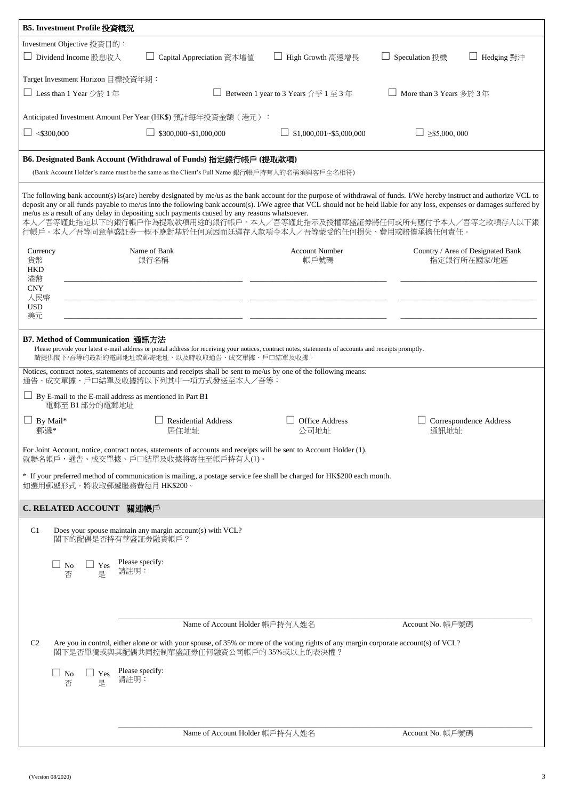| B5. Investment Profile 投資概況                                                                                                                                                                                                                                                                                                                                                                                                                                                                                                                                                                |  |  |  |  |  |
|--------------------------------------------------------------------------------------------------------------------------------------------------------------------------------------------------------------------------------------------------------------------------------------------------------------------------------------------------------------------------------------------------------------------------------------------------------------------------------------------------------------------------------------------------------------------------------------------|--|--|--|--|--|
| Investment Objective 投資目的:<br>□ Dividend Income 股息收入<br>Capital Appreciation 資本增值<br>Hedging 對沖<br>High Growth 高速增長<br>Speculation 投機                                                                                                                                                                                                                                                                                                                                                                                                                                                      |  |  |  |  |  |
| Target Investment Horizon 目標投資年期:                                                                                                                                                                                                                                                                                                                                                                                                                                                                                                                                                          |  |  |  |  |  |
| □ Less than 1 Year 少於 1 年<br>□ Between 1 year to 3 Years 介乎 1 至 3 年<br>More than 3 Years 多於 3年                                                                                                                                                                                                                                                                                                                                                                                                                                                                                             |  |  |  |  |  |
| Anticipated Investment Amount Per Year (HK\$) 預計每年投資金額 (港元):                                                                                                                                                                                                                                                                                                                                                                                                                                                                                                                               |  |  |  |  |  |
| $\Box$ <\$300,000<br>\$300,000~\$1,000,000<br>\$1,000,001~\$5,000,000<br>$>\$5,000,000$                                                                                                                                                                                                                                                                                                                                                                                                                                                                                                    |  |  |  |  |  |
| B6. Designated Bank Account (Withdrawal of Funds) 指定銀行帳戶 (提取款項)<br>(Bank Account Holder's name must be the same as the Client's Full Name 銀行帳戶持有人的名稱須與客戶全名相符)                                                                                                                                                                                                                                                                                                                                                                                                                              |  |  |  |  |  |
| The following bank account(s) is(are) hereby designated by me/us as the bank account for the purpose of withdrawal of funds. I/We hereby instruct and authorize VCL to<br>deposit any or all funds payable to me/us into the following bank account(s). I/We agree that VCL should not be held liable for any loss, expenses or damages suffered by<br>me/us as a result of any delay in depositing such payments caused by any reasons whatsoever.<br>本人/吾等謹此指定以下的銀行帳戶作為提取款項用途的銀行帳戶。本人/吾等謹此指示及授權華盛証券將任何或所有應付予本人/吾等之款項存入以下銀<br>行帳戶。本人/吾等同意華盛証券一概不應對基於任何原因而廷遲存入款項令本人/吾等蒙受的任何損失、費用或賠償承擔任何責任。 |  |  |  |  |  |
| Name of Bank<br><b>Account Number</b><br>Country / Area of Designated Bank<br>Currency<br>貨幣<br>指定銀行所在國家/地區<br>銀行名稱<br>帳戶號碼<br><b>HKD</b><br>港幣<br><b>CNY</b>                                                                                                                                                                                                                                                                                                                                                                                                                              |  |  |  |  |  |
| 人民幣<br><b>USD</b><br>美元                                                                                                                                                                                                                                                                                                                                                                                                                                                                                                                                                                    |  |  |  |  |  |
| B7. Method of Communication 通訊方法<br>Please provide your latest e-mail address or postal address for receiving your notices, contract notes, statements of accounts and receipts promptly.<br>請提供閣下/吾等的最新的電郵地址或郵寄地址,以及時收取通告、成交單據、戶口結單及收據。                                                                                                                                                                                                                                                                                                                                                   |  |  |  |  |  |
| Notices, contract notes, statements of accounts and receipts shall be sent to me/us by one of the following means:<br>通告、成交單據、戶口結單及收據將以下列其中一項方式發送至本人/吾等:                                                                                                                                                                                                                                                                                                                                                                                                                                   |  |  |  |  |  |
| $\Box$ By E-mail to the E-mail address as mentioned in Part B1<br>電郵至 B1部分的電郵地址                                                                                                                                                                                                                                                                                                                                                                                                                                                                                                            |  |  |  |  |  |
| <b>Office Address</b><br>$\Box$ By Mail*<br><b>Residential Address</b><br>Correspondence Address<br>郵遞*<br>通訊地址<br>居住地址<br>公司地址                                                                                                                                                                                                                                                                                                                                                                                                                                                            |  |  |  |  |  |
| For Joint Account, notice, contract notes, statements of accounts and receipts will be sent to Account Holder (1).<br>就聯名帳戶,通告、成交單據、戶口結單及收據將寄往至帳戶持有人(1)。                                                                                                                                                                                                                                                                                                                                                                                                                                   |  |  |  |  |  |
| * If your preferred method of communication is mailing, a postage service fee shall be charged for HK\$200 each month.<br>如選用郵遞形式,將收取郵遞服務費每月 HK\$200。                                                                                                                                                                                                                                                                                                                                                                                                                                      |  |  |  |  |  |
| C. RELATED ACCOUNT 關連帳戶                                                                                                                                                                                                                                                                                                                                                                                                                                                                                                                                                                    |  |  |  |  |  |
| Does your spouse maintain any margin account(s) with VCL?<br>C <sub>1</sub><br>閣下的配偶是否持有華盛証券融資帳戶?                                                                                                                                                                                                                                                                                                                                                                                                                                                                                          |  |  |  |  |  |
| Please specify:<br>$\Box$<br>N <sub>o</sub><br>Yes<br>請註明:<br>否<br>是                                                                                                                                                                                                                                                                                                                                                                                                                                                                                                                       |  |  |  |  |  |
|                                                                                                                                                                                                                                                                                                                                                                                                                                                                                                                                                                                            |  |  |  |  |  |
| Name of Account Holder 帳戶持有人姓名<br>Account No. 帳戶號碼                                                                                                                                                                                                                                                                                                                                                                                                                                                                                                                                         |  |  |  |  |  |
| C <sub>2</sub><br>Are you in control, either alone or with your spouse, of 35% or more of the voting rights of any margin corporate account(s) of VCL?<br>閣下是否單獨或與其配偶共同控制華盛証券任何融資公司帳戶的35%或以上的表決權?                                                                                                                                                                                                                                                                                                                                                                                          |  |  |  |  |  |
| Please specify:<br>$\Box$<br><b>No</b><br>Yes<br>請註明:<br>否<br>是                                                                                                                                                                                                                                                                                                                                                                                                                                                                                                                            |  |  |  |  |  |
| Name of Account Holder 帳戶持有人姓名<br>Account No. 帳戶號碼                                                                                                                                                                                                                                                                                                                                                                                                                                                                                                                                         |  |  |  |  |  |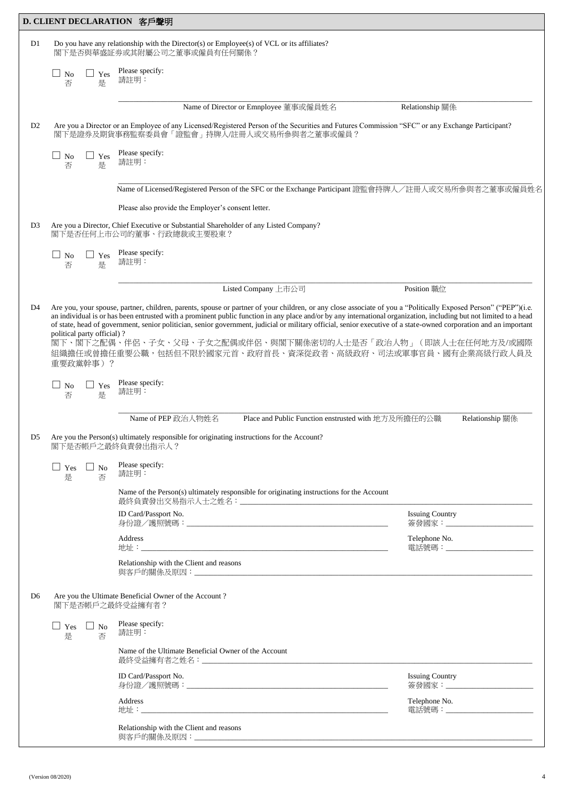|                | D. CLIENT DECLARATION 客戶聲明                                    |                                                                                                                                                                                                                                                                                                                                                                                                                                                                                                                                                                                |                                                          |  |  |  |
|----------------|---------------------------------------------------------------|--------------------------------------------------------------------------------------------------------------------------------------------------------------------------------------------------------------------------------------------------------------------------------------------------------------------------------------------------------------------------------------------------------------------------------------------------------------------------------------------------------------------------------------------------------------------------------|----------------------------------------------------------|--|--|--|
| D1             |                                                               | Do you have any relationship with the Director(s) or Employee(s) of VCL or its affiliates?<br>閣下是否與華盛証券或其附屬公司之董事或僱員有任何關係?                                                                                                                                                                                                                                                                                                                                                                                                                                                      |                                                          |  |  |  |
|                | $\Box$ No<br>Yes<br>否<br>是                                    | Please specify:<br>請註明:                                                                                                                                                                                                                                                                                                                                                                                                                                                                                                                                                        |                                                          |  |  |  |
|                |                                                               | Name of Director or Emnployee 董事或僱員姓名                                                                                                                                                                                                                                                                                                                                                                                                                                                                                                                                          | Relationship 關係                                          |  |  |  |
| D <sub>2</sub> |                                                               | Are you a Director or an Employee of any Licensed/Registered Person of the Securities and Futures Commission "SFC" or any Exchange Participant?<br>閣下是證券及期貨事務監察委員會「證監會」持牌人/註冊人或交易所參與者之董事或僱員?                                                                                                                                                                                                                                                                                                                                                                                   |                                                          |  |  |  |
|                | N <sub>o</sub><br>Yes<br>否<br>是                               | Please specify:<br>請註明:                                                                                                                                                                                                                                                                                                                                                                                                                                                                                                                                                        |                                                          |  |  |  |
|                |                                                               | Name of Licensed/Registered Person of the SFC or the Exchange Participant 證監會持牌人/註冊人或交易所參與者之董事或僱員姓名                                                                                                                                                                                                                                                                                                                                                                                                                                                                            |                                                          |  |  |  |
|                |                                                               | Please also provide the Employer's consent letter.                                                                                                                                                                                                                                                                                                                                                                                                                                                                                                                             |                                                          |  |  |  |
| D <sub>3</sub> |                                                               | Are you a Director, Chief Executive or Substantial Shareholder of any Listed Company?<br>閣下是否任何上市公司的董事、行政總裁或主要股東?                                                                                                                                                                                                                                                                                                                                                                                                                                                              |                                                          |  |  |  |
|                | $\Box$<br>No<br>Yes<br>否<br>是                                 | Please specify:<br>請註明:                                                                                                                                                                                                                                                                                                                                                                                                                                                                                                                                                        |                                                          |  |  |  |
|                |                                                               | Listed Company 上市公司                                                                                                                                                                                                                                                                                                                                                                                                                                                                                                                                                            | Position 職位                                              |  |  |  |
|                | political party official)?<br>重要政黨幹事)?<br>No<br>Yes<br>是<br>否 | an individual is or has been entrusted with a prominent public function in any place and/or by any international organization, including but not limited to a head<br>of state, head of government, senior politician, senior government, judicial or military official, senior executive of a state-owned corporation and an important<br>閣下、閣下之配偶、伴侶、子女、父母、子女之配偶或伴侶、與閣下關係密切的人士是否「政治人物」(即該人士在任何地方及/或國際<br>組織擔任或曾擔任重要公職,包括但不限於國家元首、政府首長、資深從政者、高級政府、司法或軍事官員、國有企業高級行政人員及<br>Please specify:<br>請註明:<br>Name of PEP 政治人物姓名<br>Place and Public Function enstrusted with 地方及所擔任的公職 | Relationship 關係                                          |  |  |  |
| D5 =           |                                                               | Are you the Person(s) ultimately responsible for originating instructions for the Account?<br>閣下是否帳戶之最終負責發出指示人?                                                                                                                                                                                                                                                                                                                                                                                                                                                                |                                                          |  |  |  |
|                | $\Box$ No<br>$\Box$ Yes<br>是<br>否                             | Please specify:<br>請註明:                                                                                                                                                                                                                                                                                                                                                                                                                                                                                                                                                        |                                                          |  |  |  |
|                |                                                               | Name of the Person(s) ultimately responsible for originating instructions for the Account                                                                                                                                                                                                                                                                                                                                                                                                                                                                                      |                                                          |  |  |  |
|                |                                                               | ID Card/Passport No.                                                                                                                                                                                                                                                                                                                                                                                                                                                                                                                                                           | <b>Issuing Country</b><br>簽發國家:_________________________ |  |  |  |
|                |                                                               | Address                                                                                                                                                                                                                                                                                                                                                                                                                                                                                                                                                                        | Telephone No.<br>電話號碼:_________________________          |  |  |  |
|                |                                                               | Relationship with the Client and reasons                                                                                                                                                                                                                                                                                                                                                                                                                                                                                                                                       |                                                          |  |  |  |
| D <sub>6</sub> | 閣下是否帳戶之最終受益擁有者?                                               | Are you the Ultimate Beneficial Owner of the Account?                                                                                                                                                                                                                                                                                                                                                                                                                                                                                                                          |                                                          |  |  |  |
|                | $\Box$ No<br>$\Box$ Yes<br>是<br>否                             | Please specify:<br>請註明:                                                                                                                                                                                                                                                                                                                                                                                                                                                                                                                                                        |                                                          |  |  |  |
|                |                                                               | Name of the Ultimate Beneficial Owner of the Account                                                                                                                                                                                                                                                                                                                                                                                                                                                                                                                           |                                                          |  |  |  |
|                |                                                               | ID Card/Passport No.                                                                                                                                                                                                                                                                                                                                                                                                                                                                                                                                                           | <b>Issuing Country</b><br>簽發國家: _______________________  |  |  |  |
|                |                                                               | Address                                                                                                                                                                                                                                                                                                                                                                                                                                                                                                                                                                        | Telephone No.<br>電話號碼:________________________           |  |  |  |
|                |                                                               | Relationship with the Client and reasons                                                                                                                                                                                                                                                                                                                                                                                                                                                                                                                                       |                                                          |  |  |  |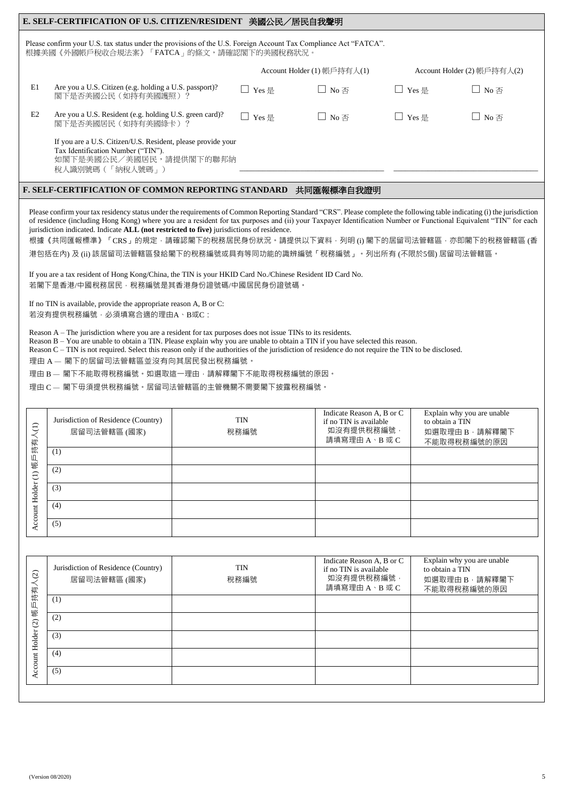|                                                                                                                                                              | E. SELF-CERTIFICATION OF U.S. CITIZEN/RESIDENT<br>美國公民/居民自我聲明                                                                                    |         |                                    |                                  |                                    |  |  |
|--------------------------------------------------------------------------------------------------------------------------------------------------------------|--------------------------------------------------------------------------------------------------------------------------------------------------|---------|------------------------------------|----------------------------------|------------------------------------|--|--|
| Please confirm your U.S. tax status under the provisions of the U.S. Foreign Account Tax Compliance Act "FATCA".<br>根據美國《外國帳戶稅收合規法案》「FATCA」的條文,請確認閣下的美國稅務狀況。 |                                                                                                                                                  |         |                                    |                                  |                                    |  |  |
|                                                                                                                                                              |                                                                                                                                                  |         | Account Holder (1) 帳戶持有人(1)        | Account Holder $(2)$ 帳戶持有人 $(2)$ |                                    |  |  |
| E1                                                                                                                                                           | Are you a U.S. Citizen (e.g. holding a U.S. passport)?<br>閣下是否美國公民(如持有美國護照)?                                                                     | □ Yes 是 | $\Box$ No $\overline{\mathcal{A}}$ | $\Box$ Yes 是                     | $\Box$ No 否                        |  |  |
| E2                                                                                                                                                           | Are you a U.S. Resident (e.g. holding U.S. green card)?<br>閣下是否美國居民 (如持有美國綠卡) ?                                                                  | □ Yes 是 | $\Box$ No $\overline{\mathcal{A}}$ | $\Box$ Yes 是                     | $\Box$ No $\overline{\mathcal{A}}$ |  |  |
|                                                                                                                                                              | If you are a U.S. Citizen/U.S. Resident, please provide your<br>Tax Identification Number ("TIN").<br>如閣下是美國公民/美國居民,請提供閣下的聯邦納<br>税人識別號碼(「納稅人號碼」) |         |                                    |                                  |                                    |  |  |
|                                                                                                                                                              |                                                                                                                                                  |         |                                    |                                  |                                    |  |  |

### **F. SELF-CERTIFICATION OF COMMON REPORTING STANDARD** 共同匯報標準自我證明

Please confirm your tax residency status under the requirements of Common Reporting Standard "CRS". Please complete the following table indicating (i) the jurisdiction of residence (including Hong Kong) where you are a resident for tax purposes and (ii) your Taxpayer Identification Number or Functional Equivalent "TIN" for each jurisdiction indicated. Indicate **ALL (not restricted to five)** jurisdictions of residence.

根據《共同匯報標準》「CRS」的規定,請確認閣下的稅務居民身份狀況。請提供以下資料,列明 (i) 閣下的居留司法管轄區, 亦即閣下的稅務管轄區 (香 港包括在內) 及 (ii) 該居留司法管轄區發給閣下的稅務編號或具有等同功能的識辨編號「稅務編號」。列出所有 (不限於5個) 居留司法管轄區。

If you are a tax resident of Hong Kong/China, the TIN is your HKID Card No./Chinese Resident ID Card No. 若閣下是香港/中國稅務居民,稅務編號是其香港身份證號碼/中國居民身份證號碼。

If no TIN is available, provide the appropriate reason A, B or C: 若沒有提供稅務編號,必須填寫合適的理由A、B或C:

Reason A – The jurisdiction where you are a resident for tax purposes does not issue TINs to its residents.

Reason B – You are unable to obtain a TIN. Please explain why you are unable to obtain a TIN if you have selected this reason.

Reason C – TIN is not required. Select this reason only if the authorities of the jurisdiction of residence do not require the TIN to be disclosed.

理由 A – 閣下的居留司法管轄區並沒有向其居民發出稅務編號。

理由 B — 閣下不能取得稅務編號。如選取這一理由,請解釋閣下不能取得稅務編號的原因。

理由 C – 閣下毋須提供稅務編號。居留司法管轄區的主管機關不需要閣下披露稅務編號。

| $\ominus$ | Jurisdiction of Residence (Country)<br>居留司法管轄區 (國家) | <b>TIN</b><br>稅務編號 | Indicate Reason A, B or C<br>if no TIN is available<br>如沒有提供稅務編號‧<br>請填寫理由 A、B 或 C | Explain why you are unable<br>to obtain a TIN<br>如選取理由B,請解釋閣下<br>不能取得稅務編號的原因 |
|-----------|-----------------------------------------------------|--------------------|------------------------------------------------------------------------------------|------------------------------------------------------------------------------|
| 帳戶持有      | (1)                                                 |                    |                                                                                    |                                                                              |
| $\ominus$ | (2)                                                 |                    |                                                                                    |                                                                              |
| Holder    | (3)                                                 |                    |                                                                                    |                                                                              |
| ount      | (4)                                                 |                    |                                                                                    |                                                                              |
|           | (5)                                                 |                    |                                                                                    |                                                                              |

| $\lambda$ (2) | Jurisdiction of Residence (Country)<br>居留司法管轄區 (國家) | <b>TIN</b><br>稅務編號 | Indicate Reason A, B or C<br>if no TIN is available<br>如沒有提供稅務編號,<br>請填寫理由 A、B 或 C | Explain why you are unable<br>to obtain a TIN<br>如選取理由 B,請解釋閣下<br>不能取得稅務編號的原因 |
|---------------|-----------------------------------------------------|--------------------|------------------------------------------------------------------------------------|-------------------------------------------------------------------------------|
| 帳戶持有          | (1)                                                 |                    |                                                                                    |                                                                               |
| $\odot$       | (2)                                                 |                    |                                                                                    |                                                                               |
| Holder        | (3)                                                 |                    |                                                                                    |                                                                               |
|               | (4)                                                 |                    |                                                                                    |                                                                               |
| Account       | (5)                                                 |                    |                                                                                    |                                                                               |
|               |                                                     |                    |                                                                                    |                                                                               |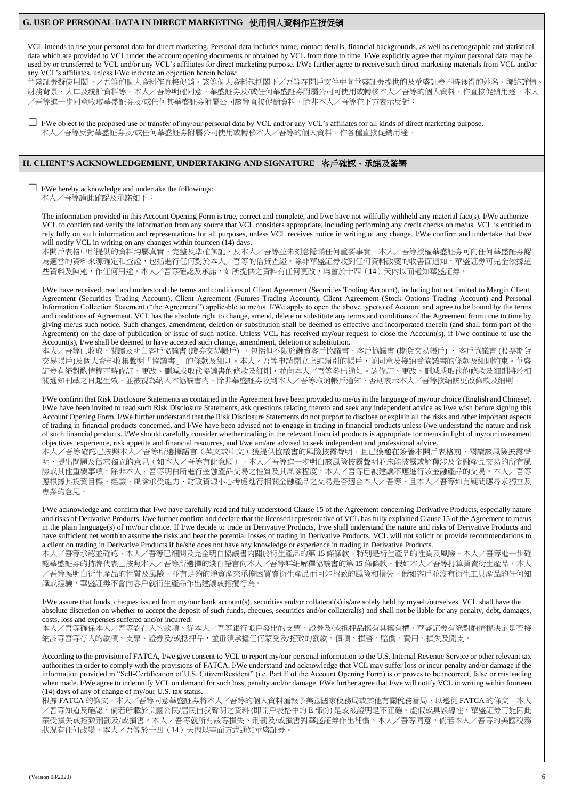# **G. USE OF PERSONAL DATA IN DIRECT MARKETING** 使用個人資料作直接促銷

VCL intends to use your personal data for direct marketing. Personal data includes name, contact details, financial backgrounds, as well as demographic and statistical data which are provided to VCL under the account opening documents or obtained by VCL from time to time. I/We explicitly agree that my/our personal data may be used by or transferred to VCL and/or any VCL's affiliates for direct marketing purpose. I/We further agree to receive such direct marketing materials from VCL and/or any VCL's affiliates, unless I/We indicate an objection herein below:

華盛証券擬使用閣下/吾等的個人資料作直接促銷。該等個人資料包括閣下/吾等在開戶文件中向華盛証券提供的及華盛証券不時獲得的姓名、聯絡詳情 財務背景、人口及統計資料等。本人/吾等明確同意,華盛証劵及/或任何華盛証劵附屬公司可使用或轉移本人/吾等的個人資料,作直接促銷用途。本人 /吾等進一步同意收取華盛証劵及/或任何其華盛証劵附屬公司該等直接促銷資料,除非本人/吾等在下方表示反對:

 $\Box$  I/We object to the proposed use or transfer of my/our personal data by VCL and/or any VCL's affiliates for all kinds of direct marketing purpose. 本人/吾等反對華盛証劵及/或任何華盛証劵附屬公司使用或轉移本人/吾等的個人資料,作各種直接促銷用途。

## **H. CLIENT'S ACKNOWLEDGEMENT, UNDERTAKING AND SIGNATURE** 客戶確認、承諾及簽署

 $\Box$  I/We hereby acknowledge and undertake the followings: 本人/吾等謹此確認及承諾如下:

The information provided in this Account Opening Form is true, correct and complete, and I/we have not willfully withheld any material fact(s). I/We authorize VCL to confirm and verify the information from any source that VCL considers appropriate, including performing any credit checks on me/us. VCL is entitled to rely fully on such information and representations for all purposes, unless VCL receives notice in writing of any change. I/We confirm and undertake that I/we will notify VCL in writing on any changes within fourteen (14) days.

本開戶表格中所提供的資料均屬真實、完整及凖確無訛,及本人/吾等並未刻意隱瞞任何重要事實。本人/吾等授權華盛証劵可向任何華盛証劵認 為適當的資料來源確定和查證,包括進行任何對於本人/吾等的信貸查證。除非華盛証劵收到任何資料改變的收書面通知,華盛証劵可完全依據這 些資料及陳述,作任何用途。本人/吾等確認及承諾,如所提供之資料有任何更改,均會於十四(14)天內以面通知華盛証劵。

I/We have received, read and understood the terms and conditions of Client Agreement (Securities Trading Account), including but not limited to Margin Client Agreement (Securities Trading Account), Client Agreement (Futures Trading Account), Client Agreement (Stock Options Trading Account) and Personal Information Collection Statement ("the Agreement") applicable to me/us. I/We apply to open the above type(s) of Account and agree to be bound by the terms and conditions of Agreement. VCL has the absolute right to change, amend, delete or substitute any terms and conditions of the Agreement from time to time by giving me/us such notice. Such changes, amendment, deletion or substitution shall be deemed as effective and incorporated therein (and shall form part of the Agreement) on the date of publication or issue of such notice. Unless VCL has received my/our request to close the Account(s), if I/we continue to use the Account(s), I/we shall be deemed to have accepted such change, amendment, deletion or substitution.

本人/吾等已收取、閱讀及明白客戶協議書 (證券交易帳)戶),包括但不限於融資客戶協議書、客戶協議書 (期貨交易帳戶) 、 客戶協議書 (股票期貨 交易帳戶)及個人資料收集聲明「協議書」 的條款及細則。本人/吾等申請開立上述類別的帳戶,並同意及接納受協議書的條款及細則約束。華盛 証券有絕對酌情權不時修訂、更改、刪減或取代協議書的條款及細則,並向本人/吾等發出通知。該修訂、更改、刪減或取代的條款及細則將於相 關通知刊載之日起生效,並被視為納入本協議書內。除非華盛証劵收到本人/吾等取消帳戶通知,否則表示本人/吾等接納該更改條款及細則。

I/We confirm that Risk Disclosure Statements as contained in the Agreement have been provided to me/us in the language of my/our choice (English and Chinese). I/We have been invited to read such Risk Disclosure Statements, ask questions relating thereto and seek any independent advice as I/we wish before signing this Account Opening Form. I/We further understand that the Risk Disclosure Statements do not purport to disclose or explain all the risks and other important aspects of trading in financial products concerned, and I/We have been advised not to engage in trading in financial products unless I/we understand the nature and risk of such financial products. I/We should carefully consider whether trading in the relevant financial products is appropriate for me/us in light of my/our investment objectives, experience, risk appetite and financial resources, and I/we am/are advised to seek independent and professional advice.

本人/吾等確認已按照本人/吾等所選擇語言(英文或中文)獲提供協議書的風險披露聲明,且已獲邀在簽署本開戶表格前,閱讀該風險披露聲 明、提出問題及徵求獨立的意見(如本人/吾等有此意願)。本人/吾等進一步明白該風險披露聲明並未能披露或解釋涉及金融產品交易的所有風 險或其他重要事項,除非本人/吾等明白所進行金融產品交易之性質及其風險程度,本人/吾等已被建議不應進行該金融產品的交易。本人/吾等 應根據其投資目標、經驗、風險承受能力、財政資源小心考慮進行相關金融產品之交易是否適合本人/吾等,且本人/吾等如有疑問應尋求獨立及 專業的意見。

I/We acknowledge and confirm that I/we have carefully read and fully understood Clause 15 of the Agreement concerning Derivative Products, especially nature and risks of Derivative Products. I/we further confirm and declare that the licensed representative of VCL has fully explained Clause 15 of the Agreement to me/us in the plain language(s) of my/our choice. If I/we decide to trade in Derivative Products, I/we shall understand the nature and risks of Derivative Products and have sufficient net worth to assume the risks and bear the potential losses of trading in Derivative Products. VCL will not solicit or provide recommendations to a client on trading in Derivative Products if he/she does not have any knowledge or experience in trading in Derivative Products.

本人/吾等承認並確認,本人/吾等已細閱及完全明白協議書内關於衍生產品的第 15 條條款,特別是衍生產品的性質及風險。本人/吾等進一步確 認華盛証券的持牌代表已按照本人/吾等所選擇的淺白語言向本人/吾等詳細解釋協議書的第15條條款。假如本人/吾等打算買賣衍生產品,本人 /吾等應明白衍生產品的性質及風險,並有足夠的淨資產來承擔因買賣衍生產品而可能招致的風險和損失。假如客戶並沒有衍生工具產品的任何知 識或經驗,華盛証劵不會向客戶就衍生產品作出建議或招攬行為。

I/We assure that funds, cheques issued from my/our bank account(s), securities and/or collateral(s) is/are solely held by myself/ourselves. VCL shall have the absolute discretion on whether to accept the deposit of such funds, cheques, securities and/or collateral(s) and shall not be liable for any penalty, debt, damages, costs, loss and expenses suffered and/or incurred.

本人/吾等確保本人/吾等對存入的款項、從本人/吾等銀行帳戶發出的支票、證券及/或抵押品擁有其擁有權。華盛証劵有絕對酌情權決定是否接 納該等吾等存入的款項、支票、證券及/或抵押品,並毌須承擔任何蒙受及/招致的罰款、債項、損害、賠償、費用、損失及開支。

According to the provision of FATCA, I/we give consent to VCL to report my/our personal information to the U.S. Internal Revenue Service or other relevant tax authorities in order to comply with the provisions of FATCA. I/We understand and acknowledge that VCL may suffer loss or incur penalty and/or damage if the information provided in "Self-Certification of U.S. Citizen/Resident" (i.e. Part E of the Account Opening Form) is or proves to be incorrect, false or misleading when made. I/We agree to indemnify VCL on demand for such loss, penalty and/or damage. I/We further agree that I/we will notify VCL in writing within fourteen (14) days of any of change of my/our U.S. tax status.

根據 FATCA 的條文,本人/吾等同意華盛証劵將本人/吾等的個人資料匯報予美國國家稅務局或其他有關稅務當局,以遵從 FATCA 的條文。本人 /吾等知道及確認,倘若所載於美國公民/居民自我聲明之資料 (即開戶表格中的 E 部份) 是或被證明是不正確、虚假或具誤導性,華盛証券可能因此 蒙受損失或招致刑罰及/或損害。本人/吾等就所有該等損失、刑罰及/或損害對華盛証券作出補償。本人/吾等同意,倘若本人/吾等的美國稅務 狀況有任何改變,本人/吾等於十四(14)天内以書面方式通知華盛証劵。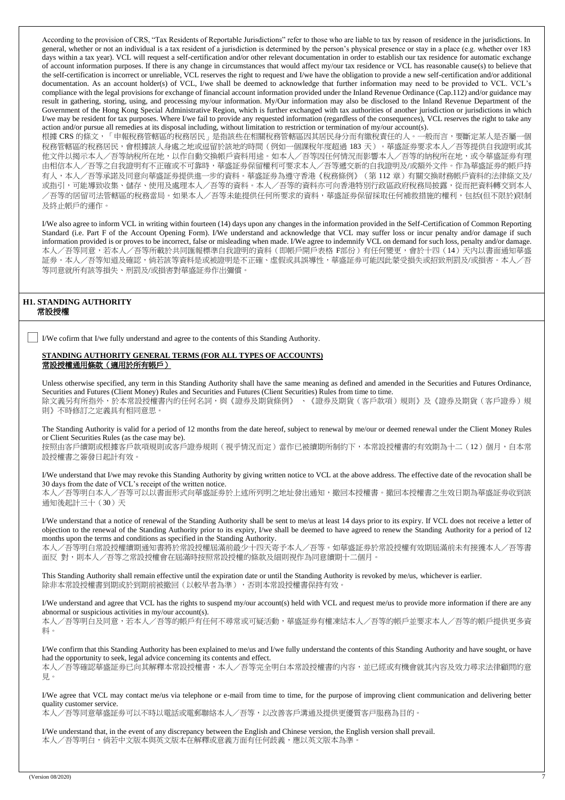According to the provision of CRS, "Tax Residents of Reportable Jurisdictions" refer to those who are liable to tax by reason of residence in the jurisdictions. In general, whether or not an individual is a tax resident of a jurisdiction is determined by the person's physical presence or stay in a place (e.g. whether over 183 days within a tax year). VCL will request a self-certification and/or other relevant documentation in order to establish our tax residence for automatic exchange of account information purposes. If there is any change in circumstances that would affect my/our tax residence or VCL has reasonable cause(s) to believe that the self-certification is incorrect or unreliable, VCL reserves the right to request and I/we have the obligation to provide a new self-certification and/or additional documentation. As an account holder(s) of VCL, I/we shall be deemed to acknowledge that further information may need to be provided to VCL. VCL's compliance with the legal provisions for exchange of financial account information provided under the Inland Revenue Ordinance (Cap.112) and/or guidance may result in gathering, storing, using, and processing my/our information. My/Our information may also be disclosed to the Inland Revenue Department of the Government of the Hong Kong Special Administrative Region, which is further exchanged with tax authorities of another jurisdiction or jurisdictions in which I/we may be resident for tax purposes. Where I/we fail to provide any requested information (regardless of the consequences), VCL reserves the right to take any action and/or pursue all remedies at its disposal including, without limitation to restriction or termination of my/our account(s).

根據 CRS 的條文,「申報稅務管轄區的稅務居民」是指該些在相關稅務管轄區因其居民身分而有繳稅責任的人。一般而言,要斷定某人是否屬一個 稅務管轄區的稅務居民,會根據該人身處之地或逗留於該地的時間(例如一個課稅年度超過 183 天)。華盛証劵要求本人/吾等提供自我證明或其 他文件以揭示本人/吾等納稅所在地,以作自動交換帳戶資料用途。如本人/吾等因任何情況而影響本人/吾等的納稅所在地,或令華盛証券有理 由相信本人/吾等之自我證明有不正確或不可靠時,華盛証劵保留權利可要求本人/吾等遞交新的自我證明及/或額外文件。作為華盛証劵的帳戶持 有人,本人/吾等承諾及同意向華盛証券提供進一步的資料。華盛証券為遵守香港《稅務條例》(第112章)有關交換財務帳戶資料的法律條文及/ 或指引,可能導致收集、儲存、使用及處理本人/吾等的資料。本人/吾等的資料亦可向香港特別行政區政府稅務局披露,從而把資料轉交到本人 /吾等的居留司法管轄區的稅務當局。如果本人/吾等未能提供任何所要求的資料,華盛証劵保留採取任何補救措施的權利,包括(但不限於)限制 及終止帳戶的運作。

I/We also agree to inform VCL in writing within fourteen (14) days upon any changes in the information provided in the Self-Certification of Common Reporting Standard (i.e. Part F of the Account Opening Form). I/We understand and acknowledge that VCL may suffer loss or incur penalty and/or damage if such information provided is or proves to be incorrect, false or misleading when made. I/We agree to indemnify VCL on demand for such loss, penalty and/or damage. 本人/吾等同意,若本人/吾等所載於共同匯報標準自我證明的資料(即帳戶開戶表格 F部份)有任何變更,會於十四(14)天內以書面通知華盛 証券。本人/吾等知道及確認,倘若該等資料是或被證明是不正確、虚假或具誤導性,華盛証券可能因此蒙受損失或招致刑罰及/或損害。本人/吾 等同意就所有該等損失、刑罰及/或損害對華盛証劵作出彌償。

### **H1. STANDING AUTHORITY** 常設授權

□ I/We cofirm that I/we fully understand and agree to the contents of this Standing Authority.

#### **STANDING AUTHORITY GENERAL TERMS (FOR ALL TYPES OF ACCOUNTS)** 常設授權通用條款(適用於所有帳戶)

Unless otherwise specified, any term in this Standing Authority shall have the same meaning as defined and amended in the Securities and Futures Ordinance, Securities and Futures (Client Money) Rules and Securities and Futures (Client Securities) Rules from time to time. 除文義另有所指外,於本常設授權書內的任何名詞,與《證券及期貨條例》、《證券及期貨(客戶款項)規則》及《證券及期貨(客戶證券)規 則》不時修訂之定義具有相同意思。

The Standing Authority is valid for a period of 12 months from the date hereof, subject to renewal by me/our or deemed renewal under the Client Money Rules or Client Securities Rules (as the case may be).

按照由客戶續期或根據客戶款項規則或客戶證券規則(視乎情況而定)當作已被續期所制約下,本常設授權書的有效期為十二(12)個月,自本常 設授權書之簽發日起計有效。

I/We understand that I/we may revoke this Standing Authority by giving written notice to VCL at the above address. The effective date of the revocation shall be 30 days from the date of VCL's receipt of the written notice.

本人/吾等明白本人/吾等可以以書面形式向華盛証劵於上述所列明之地址發出通知,撤回本授權書。撤回本授權書之生效日期為華盛証劵收到該 通知後起計三十(30)天

I/We understand that a notice of renewal of the Standing Authority shall be sent to me/us at least 14 days prior to its expiry. If VCL does not receive a letter of objection to the renewal of the Standing Authority prior to its expiry, I/we shall be deemed to have agreed to renew the Standing Authority for a period of 12 months upon the terms and conditions as specified in the Standing Authority.

本人/吾等明白常設授權續期通知書將於常設授權屆滿前最少十四天寄予本人/吾等。如華盛証劵於常設授權有效期屆滿前未有接獲本人/吾等書 面反 對,則本人/吾等之常設授權會在屆滿時按照常設授權的條款及細則視作為同意續期十二個月。

This Standing Authority shall remain effective until the expiration date or until the Standing Authority is revoked by me/us, whichever is earlier. 除非本常設授權書到期或於到期前被撤回(以較早者為準),否則本常設授權書保持有效。

I/We understand and agree that VCL has the rights to suspend my/our account(s) held with VCL and request me/us to provide more information if there are any abnormal or suspicious activities in my/our account(s).

本人/吾等明白及同意,若本人/吾等的帳戶有任何不尋常或可疑活動,華盛証劵有權凍結本人/吾等的帳戶並要求本人/吾等的帳戶提供更多資 料。

I/We confirm that this Standing Authority has been explained to me/us and I/we fully understand the contents of this Standing Authority and have sought, or have had the opportunity to seek, legal advice concerning its contents and effect. 本人/吾等確認華盛証劵已向其解釋本常設授權書,本人/吾等完全明白本常設授權書的內容,並已經或有機會就其內容及效力尋求法律顧問的意 見。

I/We agree that VCL may contact me/us via telephone or e-mail from time to time, for the purpose of improving client communication and delivering better quality customer service.

本人/吾等同意華盛証劵可以不時以電話或電郵聯絡本人/吾等,以改善客戶溝通及提供更優質客戸服務為目的。

I/We understand that, in the event of any discrepancy between the English and Chinese version, the English version shall prevail. 本人/吾等明白,倘若中文版本與英文版本在解釋或意義方面有任何歧義,應以英文版本為準。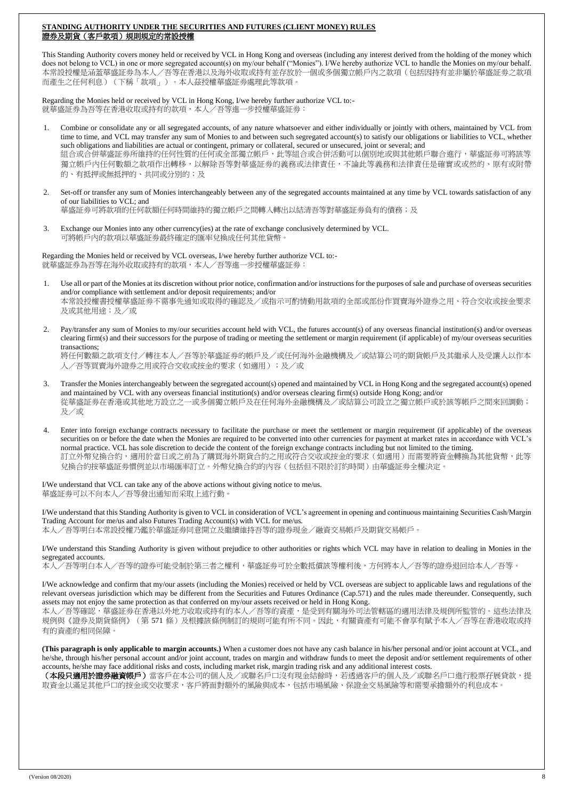#### **STANDING AUTHORITY UNDER THE SECURITIES AND FUTURES (CLIENT MONEY) RULES** 證券及期貨(客戶款項)規則規定的常設授權

This Standing Authority covers money held or received by VCL in Hong Kong and overseas (including any interest derived from the holding of the money which does not belong to VCL) in one or more segregated account(s) on my/our behalf ("Monies"). I/We hereby authorize VCL to handle the Monies on my/our behalf. 本常設授權是涵蓋華盛証劵為本人/吾等在香港以及海外收取或持有並存放於一個或多個獨立帳戶內之款項(包括因持有並非屬於華盛証劵之款項 而產生之任何利息)(下稱「款項」)。本人茲授權華盛証劵處理此等款項。

Regarding the Monies held or received by VCL in Hong Kong, I/we hereby further authorize VCL to:- 就華盛証券為吾等在香港收取或持有的款項,本人/吾等進一步授權華盛証券:

- 1. Combine or consolidate any or all segregated accounts, of any nature whatsoever and either individually or jointly with others, maintained by VCL from time to time, and VCL may transfer any sum of Monies to and between such segregated account(s) to satisfy our obligations or liabilities to VCL, whether such obligations and liabilities are actual or contingent, primary or collateral, secured or unsecured, joint or several; and 組合或合併華盛証劵所維持的任何性質的任何或全部獨立帳戶,此等組合或合併活動可以個別地或與其他帳戶聯合進行,華盛証劵可將該等 獨立帳戶內任何數額之款項作出轉移,以解除吾等對華盛証劵的義務或法律責任,不論此等義務和法律責任是確實或或然的、原有或附帶 的、有抵押或無抵押的、共同或分別的;及
- 2. Set-off or transfer any sum of Monies interchangeably between any of the segregated accounts maintained at any time by VCL towards satisfaction of any of our liabilities to VCL; and 華盛証券可將款項的任何款額任何時間維持的獨立帳戶之間轉入轉出以結清吾等對華盛証券負有的債務;及
- 3. Exchange our Monies into any other currency(ies) at the rate of exchange conclusively determined by VCL. 可將帳戶內的款項以華盛証劵最終確定的匯率兌換成任何其他貨幣。

Regarding the Monies held or received by VCL overseas, I/we hereby further authorize VCL to:- 就華盛証券為吾等在海外收取或持有的款項,本人/吾等進一步授權華盛証券:

- 1. Use all or part of the Monies at its discretion without prior notice, confirmation and/or instructions for the purposes of sale and purchase of overseas securities and/or compliance with settlement and/or deposit requirements; and/or 本常設授權書授權華盛証劵不需事先通知或取得的確認及/或指示可酌情動用款項的全部或部份作買賣海外證券之用、符合交收或按金要求 及或其他用途;及/或
- 2. Pay/transfer any sum of Monies to my/our securities account held with VCL, the futures account(s) of any overseas financial institution(s) and/or overseas clearing firm(s) and their successors for the purpose of trading or meeting the settlement or margin requirement (if applicable) of my/our overseas securities transactions;

將任何數額之款項支付/轉往本人/吾等於華盛証劵的帳戶及/或任何海外金融機構及/或結算公司的期貨帳戶及其繼承人及受讓人以作本 人/吾等買賣海外證券之用或符合交收或按金的要求(如適用);及/或

- 3. Transfer the Monies interchangeably between the segregated account(s) opened and maintained by VCL in Hong Kong and the segregated account(s) opened and maintained by VCL with any overseas financial institution(s) and/or overseas clearing firm(s) outside Hong Kong; and/or 從華盛証劵在香港或其他地方設立之一或多個獨立帳戶及在任何海外金融機構及/或結算公司設立之獨立帳戶或於該等帳戶之間來回調動; 及/或
- 4. Enter into foreign exchange contracts necessary to facilitate the purchase or meet the settlement or margin requirement (if applicable) of the overseas securities on or before the date when the Monies are required to be converted into other currencies for payment at market rates in accordance with VCL's normal practice. VCL has sole discretion to decide the content of the foreign exchange contracts including but not limited to the timing. 訂立外幣兌換合約,適用於當日或之前為了購買海外期貨合約之用或符合交收或按金的要求(如適用)而需要將資金轉換為其他貨幣,此等 兌換合約按華盛証劵慣例並以市場匯率訂立。外幣兌換合約的內容(包括但不限於訂約時間)由華盛証劵全權決定。

I/We understand that VCL can take any of the above actions without giving notice to me/us. 華盛証劵可以不向本人/吾等發出通知而采取上述行動。

I/We understand that this Standing Authority is given to VCL in consideration of VCL's agreement in opening and continuous maintaining Securities Cash/Margin Trading Account for me/us and also Futures Trading Account(s) with VCL for me/us. 本人/吾等明白本常設授權乃鑑於華盛証劵同意開立及繼續維持吾等的證券現金/融資交易帳戶及期貨交易帳戶。

I/We understand this Standing Authority is given without prejudice to other authorities or rights which VCL may have in relation to dealing in Monies in the segregated accounts.

本人/吾等明白本人/吾等的證券可能受制於第三者之權利,華盛証劵可於全數抵償該等權利後,方何將本人/吾等的證券退回给本人/吾等。

I/We acknowledge and confirm that my/our assets (including the Monies) received or held by VCL overseas are subject to applicable laws and regulations of the relevant overseas jurisdiction which may be different from the Securities and Futures Ordinance (Cap.571) and the rules made thereunder. Consequently, such assets may not enjoy the same protection as that conferred on my/our assets received or held in Hong Kong.

本人/吾等確認,華盛証券在香港以外地方收取或持有的本人/吾等的資產,是受到有關海外司法管轄區的適用法律及規例所監管的。這些法律及 規例與《證券及期貨條例》(第 571 條)及根據該條例制訂的規則可能有所不同。因此,有關資產有可能不會享有賦予本人/吾等在香港收取或持 有的資產的相同保障。

**(This paragraph is only applicable to margin accounts.)** When a customer does not have any cash balance in his/her personal and/or joint account at VCL, and he/she, through his/her personal account and/or joint account, trades on margin and withdraw funds to meet the deposit and/or settlement requirements of other accounts, he/she may face additional risks and costs, including market risk, margin trading risk and any additional interest costs.

(本段只適用於證券融資帳戶)當客戶在本公司的個人及/或聯名戶口沒有現金結餘時,若透過客戶的個人及/或聯名戶口進行股票孖展貸款,提 取資金以滿足其他戶口的按金或交收要求,客戶將面對額外的風險與成本,包括市場風險、保證金交易風險等和需要承擔額外的利息成本。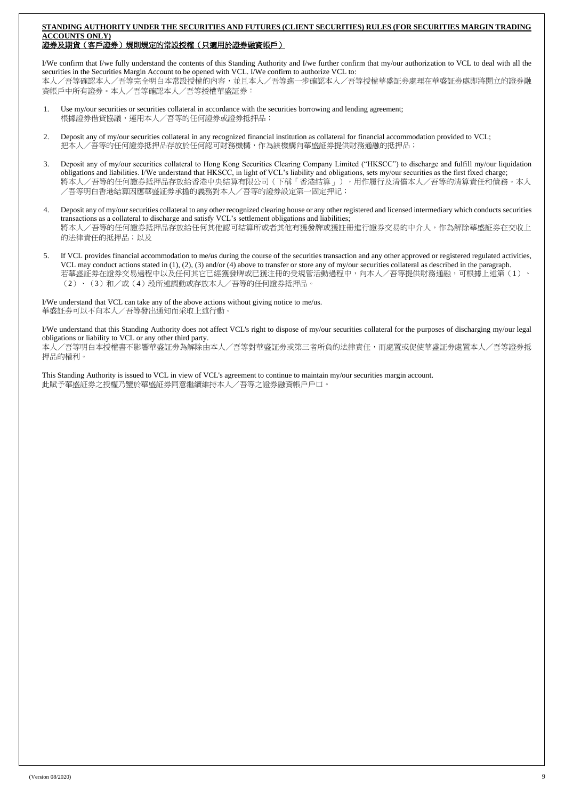#### **STANDING AUTHORITY UNDER THE SECURITIES AND FUTURES (CLIENT SECURITIES) RULES (FOR SECURITIES MARGIN TRADING ACCOUNTS ONLY)** 證券及期貨(客戶證券)規則規定的常設授權(只適用於證券融資帳戶)

I/We confirm that I/we fully understand the contents of this Standing Authority and I/we further confirm that my/our authorization to VCL to deal with all the securities in the Securities Margin Account to be opened with VCL. I/We confirm to authorize VCL to: 本人/吾等確認本人/吾等完全明白本常設授權的內容,並且本人/吾等進一步確認本人/吾等授權華盛証劵處理在華盛証劵處即將開立的證券融 資帳戶中所有證券。本人/吾等確認本人/吾等授權華盛証券:

- 1. Use my/our securities or securities collateral in accordance with the securities borrowing and lending agreement; 根據證券借貸協議,運用本人/吾等的任何證券或證券抵押品;
- 2. Deposit any of my/our securities collateral in any recognized financial institution as collateral for financial accommodation provided to VCL; 把本人/吾等的任何證券抵押品存放於任何認可財務機構,作為該機構向華盛証劵提供財務通融的抵押品;
- 3. Deposit any of my/our securities collateral to Hong Kong Securities Clearing Company Limited ("HKSCC") to discharge and fulfill my/our liquidation obligations and liabilities. I/We understand that HKSCC, in light of VCL's liability and obligations, sets my/our securities as the first fixed charge; 將本人/吾等的任何證券抵押品存放給香港中央結算有限公司(下稱「香港結算」),用作履行及清償本人/吾等的清算責任和債務。本人 /吾等明白香港結算因應華盛証劵承擔的義務對本人/吾等的證券設定第一固定押記;
- 4. Deposit any of my/our securities collateral to any other recognized clearing house or any other registered and licensed intermediary which conducts securities transactions as a collateral to discharge and satisfy VCL's settlement obligations and liabilities; 將本人/吾等的任何證券抵押品存放給任何其他認可結算所或者其他有獲發牌或獲註冊進行證券交易的中介人,作為解除華盛証券在交收上 的法律責任的抵押品;以及
- 5. If VCL provides financial accommodation to me/us during the course of the securities transaction and any other approved or registered regulated activities, VCL may conduct actions stated in (1), (2), (3) and/or (4) above to transfer or store any of my/our securities collateral as described in the paragraph. 若華盛証券在證券交易過程中以及任何其它已經獲發牌或已獲注冊的受規管活動過程中,向本人/吾等提供財務通融,可根據上述第(1)、 (2)、(3)和/或(4)段所述調動或存放本人/吾等的任何證券抵押品。

I/We understand that VCL can take any of the above actions without giving notice to me/us. 華盛証劵可以不向本人/吾等發出通知而采取上述行動。

I/We understand that this Standing Authority does not affect VCL's right to dispose of my/our securities collateral for the purposes of discharging my/our legal obligations or liability to VCL or any other third party.

本人/吾等明白本授權書不影響華盛証劵為解除由本人/吾等對華盛証劵或第三者所負的法律責任,而處置或促使華盛証劵處置本人/吾等證券抵 押品的權利。

This Standing Authority is issued to VCL in view of VCL's agreement to continue to maintain my/our securities margin account. 此賦予華盛証劵之授權乃鑒於華盛証劵同意繼續維持本人/吾等之證券融資帳戶戶口。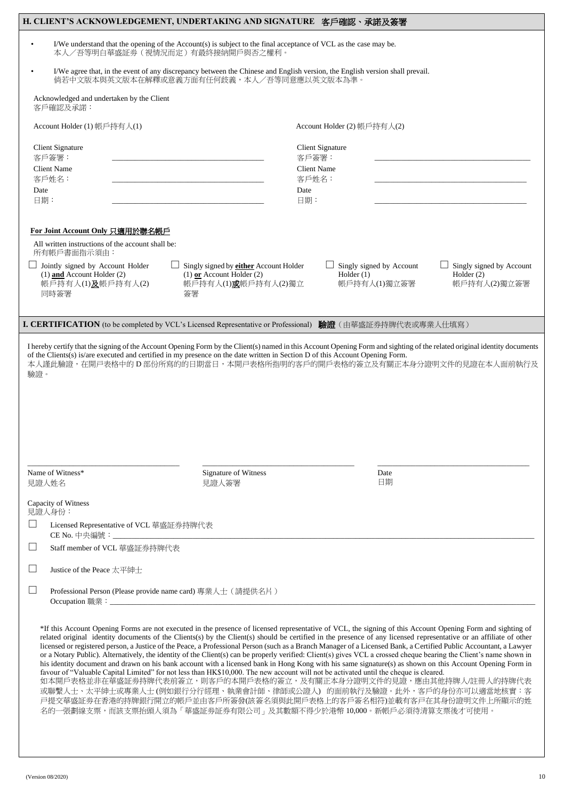|                                                                   | H. CLIENT'S ACKNOWLEDGEMENT, UNDERTAKING AND SIGNATURE 客戶確認、承諾及簽署                                                                     |                                                                                                                                                                                                                                                                                                                                                                                                                                                                                                                                                                                                                                                                                                                                                                                                                                             |                                                          |                                                          |  |
|-------------------------------------------------------------------|---------------------------------------------------------------------------------------------------------------------------------------|---------------------------------------------------------------------------------------------------------------------------------------------------------------------------------------------------------------------------------------------------------------------------------------------------------------------------------------------------------------------------------------------------------------------------------------------------------------------------------------------------------------------------------------------------------------------------------------------------------------------------------------------------------------------------------------------------------------------------------------------------------------------------------------------------------------------------------------------|----------------------------------------------------------|----------------------------------------------------------|--|
| $\bullet$                                                         |                                                                                                                                       | I/We understand that the opening of the Account(s) is subject to the final acceptance of VCL as the case may be.<br>本人/吾等明白華盛証券(視情況而定)有最終接納開戶與否之權利。                                                                                                                                                                                                                                                                                                                                                                                                                                                                                                                                                                                                                                                                                         |                                                          |                                                          |  |
|                                                                   |                                                                                                                                       | I/We agree that, in the event of any discrepancy between the Chinese and English version, the English version shall prevail.<br>倘若中文版本與英文版本在解釋或意義方面有任何歧義,本人/吾等同意應以英文版本為準。                                                                                                                                                                                                                                                                                                                                                                                                                                                                                                                                                                                                                                                                   |                                                          |                                                          |  |
|                                                                   | Acknowledged and undertaken by the Client<br>客戶確認及承諾:                                                                                 |                                                                                                                                                                                                                                                                                                                                                                                                                                                                                                                                                                                                                                                                                                                                                                                                                                             |                                                          |                                                          |  |
|                                                                   | Account Holder (1) 帳戶持有人(1)                                                                                                           |                                                                                                                                                                                                                                                                                                                                                                                                                                                                                                                                                                                                                                                                                                                                                                                                                                             | Account Holder (2) 帳戶持有人(2)                              |                                                          |  |
|                                                                   | Client Signature                                                                                                                      |                                                                                                                                                                                                                                                                                                                                                                                                                                                                                                                                                                                                                                                                                                                                                                                                                                             | <b>Client Signature</b>                                  |                                                          |  |
|                                                                   | 客戶簽署:<br><b>Client Name</b>                                                                                                           |                                                                                                                                                                                                                                                                                                                                                                                                                                                                                                                                                                                                                                                                                                                                                                                                                                             | 客戶簽署:<br><b>Client Name</b>                              |                                                          |  |
| Date                                                              | 客戶姓名:                                                                                                                                 | Date                                                                                                                                                                                                                                                                                                                                                                                                                                                                                                                                                                                                                                                                                                                                                                                                                                        | 客戶姓名:                                                    |                                                          |  |
|                                                                   | 日期:                                                                                                                                   |                                                                                                                                                                                                                                                                                                                                                                                                                                                                                                                                                                                                                                                                                                                                                                                                                                             | 日期:                                                      |                                                          |  |
|                                                                   | For Joint Account Only 只適用於聯名帳戶                                                                                                       |                                                                                                                                                                                                                                                                                                                                                                                                                                                                                                                                                                                                                                                                                                                                                                                                                                             |                                                          |                                                          |  |
|                                                                   | All written instructions of the account shall be:                                                                                     |                                                                                                                                                                                                                                                                                                                                                                                                                                                                                                                                                                                                                                                                                                                                                                                                                                             |                                                          |                                                          |  |
|                                                                   | 所有帳戶書面指示須由:<br>Jointly signed by Account Holder<br>$(1)$ and Account Holder $(2)$<br>帳戶持有人(1)及帳戶持有人(2)<br>同時簽署                        | Singly signed by either Account Holder<br>$(1)$ or Account Holder $(2)$<br>帳戶持有人(1)或帳戶持有人(2)獨立<br>簽署                                                                                                                                                                                                                                                                                                                                                                                                                                                                                                                                                                                                                                                                                                                                        | Singly signed by Account<br>Holder $(1)$<br>帳戶持有人(1)獨立簽署 | Singly signed by Account<br>Holder $(2)$<br>帳戶持有人(2)獨立簽署 |  |
|                                                                   |                                                                                                                                       |                                                                                                                                                                                                                                                                                                                                                                                                                                                                                                                                                                                                                                                                                                                                                                                                                                             |                                                          |                                                          |  |
|                                                                   |                                                                                                                                       | I. CERTIFICATION (to be completed by VCL's Licensed Representative or Professional) 驗證 (由華盛証券持牌代表或專業人仕填寫)                                                                                                                                                                                                                                                                                                                                                                                                                                                                                                                                                                                                                                                                                                                                   |                                                          |                                                          |  |
| 驗證。                                                               |                                                                                                                                       | of the Clients(s) is/are executed and certified in my presence on the date written in Section D of this Account Opening Form.<br>本人謹此驗證,在開戸表格中的 D 部份所寫的的日期當日,本開戸表格所指明的客戶的開戶表格的簽立及有關正本身分證明文件的見證在本人面前執行及                                                                                                                                                                                                                                                                                                                                                                                                                                                                                                                                                                                                                                      |                                                          |                                                          |  |
|                                                                   |                                                                                                                                       |                                                                                                                                                                                                                                                                                                                                                                                                                                                                                                                                                                                                                                                                                                                                                                                                                                             |                                                          |                                                          |  |
|                                                                   | Name of Witness*<br>見證人姓名                                                                                                             | Signature of Witness<br>見證人簽署                                                                                                                                                                                                                                                                                                                                                                                                                                                                                                                                                                                                                                                                                                                                                                                                               | Date<br>日期                                               |                                                          |  |
|                                                                   | Capacity of Witness                                                                                                                   |                                                                                                                                                                                                                                                                                                                                                                                                                                                                                                                                                                                                                                                                                                                                                                                                                                             |                                                          |                                                          |  |
| $\Box$                                                            | 見證人身份:<br>Licensed Representative of VCL 華盛証券持牌代表                                                                                     |                                                                                                                                                                                                                                                                                                                                                                                                                                                                                                                                                                                                                                                                                                                                                                                                                                             |                                                          |                                                          |  |
| $\Box$                                                            | Staff member of VCL 華盛証券持牌代表                                                                                                          |                                                                                                                                                                                                                                                                                                                                                                                                                                                                                                                                                                                                                                                                                                                                                                                                                                             |                                                          |                                                          |  |
|                                                                   |                                                                                                                                       |                                                                                                                                                                                                                                                                                                                                                                                                                                                                                                                                                                                                                                                                                                                                                                                                                                             |                                                          |                                                          |  |
|                                                                   | Justice of the Peace 太平紳士                                                                                                             |                                                                                                                                                                                                                                                                                                                                                                                                                                                                                                                                                                                                                                                                                                                                                                                                                                             |                                                          |                                                          |  |
| $\Box$                                                            |                                                                                                                                       | Professional Person (Please provide name card) 專業人士 (請提供名片)                                                                                                                                                                                                                                                                                                                                                                                                                                                                                                                                                                                                                                                                                                                                                                                 |                                                          |                                                          |  |
| 如本開戶表格並非在華盛証券持牌代表前簽立,則客戶的本開戶表格的簽立,及有關正本身分證明文件的見證,應由其他持牌人/註冊人的持牌代表 | favour of "Valuable Capital Limited" for not less than HK\$10,000. The new account will not be activated until the cheque is cleared. | *If this Account Opening Forms are not executed in the presence of licensed representative of VCL, the signing of this Account Opening Form and sighting of<br>related original identity documents of the Clients(s) by the Client(s) should be certified in the presence of any licensed representative or an affiliate of other<br>licensed or registered person, a Justice of the Peace, a Professional Person (such as a Branch Manager of a Licensed Bank, a Certified Public Accountant, a Lawyer<br>or a Notary Public). Alternatively, the identity of the Client(s) can be properly verified: Client(s) gives VCL a crossed cheque bearing the Client's name shown in<br>his identity document and drawn on his bank account with a licensed bank in Hong Kong with his same signature(s) as shown on this Account Opening Form in |                                                          |                                                          |  |